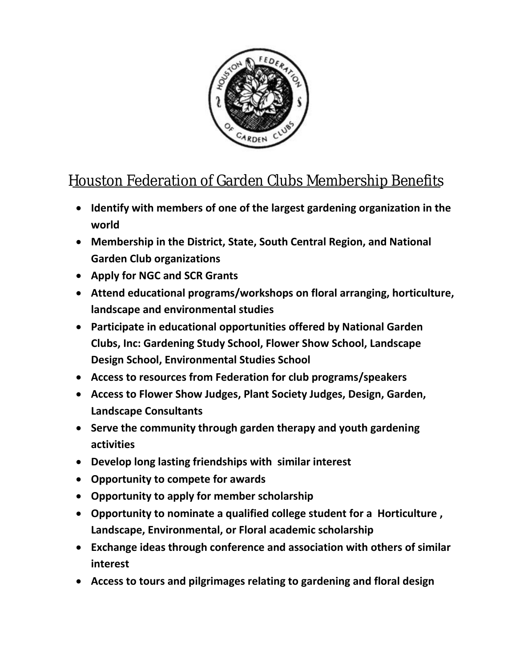

## Houston Federation of Garden Clubs Membership Benefits

- **Identify with members of one of the largest gardening organization in the world**
- **Membership in the District, State, South Central Region, and National Garden Club organizations**
- **Apply for NGC and SCR Grants**
- **Attend educational programs/workshops on floral arranging, horticulture, landscape and environmental studies**
- **Participate in educational opportunities offered by National Garden Clubs, Inc: Gardening Study School, Flower Show School, Landscape Design School, Environmental Studies School**
- **Access to resources from Federation for club programs/speakers**
- **Access to Flower Show Judges, Plant Society Judges, Design, Garden, Landscape Consultants**
- **Serve the community through garden therapy and youth gardening activities**
- **Develop long lasting friendships with similar interest**
- **Opportunity to compete for awards**
- **Opportunity to apply for member scholarship**
- **Opportunity to nominate a qualified college student for a Horticulture , Landscape, Environmental, or Floral academic scholarship**
- **Exchange ideas through conference and association with others of similar interest**
- **Access to tours and pilgrimages relating to gardening and floral design**